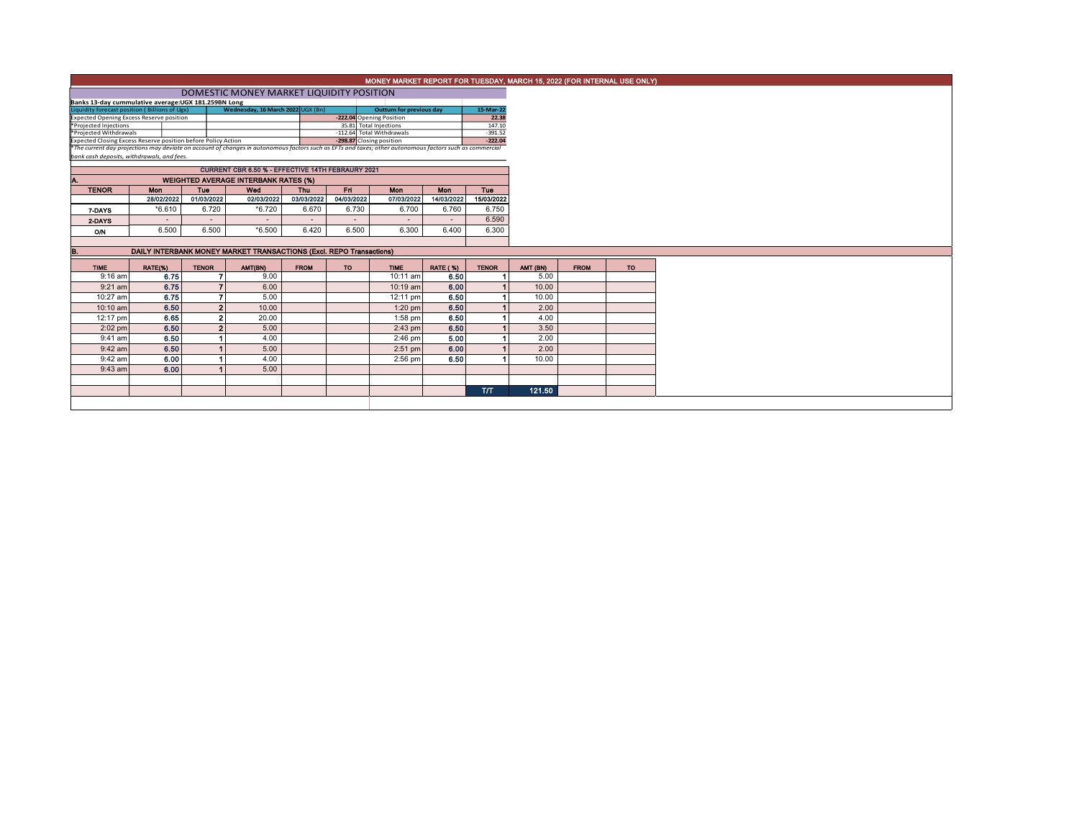|                        |                                                                                                                                                                                                        |              |                                                                     |             |            | MONEY MARKET REPORT FOR TUESDAY, MARCH 15, 2022 (FOR INTERNAL USE ONLY) |                 |              |          |             |    |
|------------------------|--------------------------------------------------------------------------------------------------------------------------------------------------------------------------------------------------------|--------------|---------------------------------------------------------------------|-------------|------------|-------------------------------------------------------------------------|-----------------|--------------|----------|-------------|----|
|                        | DOMESTIC MONEY MARKET LIQUIDITY POSITION                                                                                                                                                               |              |                                                                     |             |            |                                                                         |                 |              |          |             |    |
|                        | Banks 13-day cummulative average:UGX 181.259BN Long                                                                                                                                                    |              |                                                                     |             |            |                                                                         |                 |              |          |             |    |
|                        | Wednesday, 16 March 2022 UGX (Bn)<br>Liquidity forecast position (Billions of Ugx)<br>15-Mar-22<br>Outturn for previous day                                                                            |              |                                                                     |             |            |                                                                         |                 |              |          |             |    |
|                        | <b>Expected Opening Excess Reserve position</b>                                                                                                                                                        |              |                                                                     |             |            | -222.04 Opening Position                                                |                 | 22.38        |          |             |    |
| *Projected Injections  |                                                                                                                                                                                                        |              |                                                                     |             |            | 35.81 Total Injections                                                  |                 | 147.10       |          |             |    |
| *Projected Withdrawals |                                                                                                                                                                                                        |              |                                                                     |             |            | -112.64 Total Withdrawals                                               |                 | $-391.52$    |          |             |    |
|                        | Expected Closing Excess Reserve position before Policy Action                                                                                                                                          |              |                                                                     |             |            | -298.87 Closing position                                                |                 | $-222.04$    |          |             |    |
|                        | *The current day projections may deviate on account of changes in autonomous factors such as EFTs and taxes; other autonomous factors such as commercial<br>bank cash deposits, withdrawals, and fees. |              |                                                                     |             |            |                                                                         |                 |              |          |             |    |
|                        |                                                                                                                                                                                                        |              | <b>CURRENT CBR 6.50 % - EFFECTIVE 14TH FEBRAURY 2021</b>            |             |            |                                                                         |                 |              |          |             |    |
|                        | <b>WEIGHTED AVERAGE INTERBANK RATES (%)</b>                                                                                                                                                            |              |                                                                     |             |            |                                                                         |                 |              |          |             |    |
| <b>TENOR</b>           | Mon                                                                                                                                                                                                    | <b>Tue</b>   | Wed                                                                 | <b>Thu</b>  | Fri        | Mon                                                                     | Mon             | Tue          |          |             |    |
|                        | 28/02/2022                                                                                                                                                                                             | 01/03/2022   | 02/03/2022                                                          | 03/03/2022  | 04/03/2022 | 07/03/2022                                                              | 14/03/2022      | 15/03/2022   |          |             |    |
| 7-DAYS                 | $*6.610$                                                                                                                                                                                               | 6.720        | $*6.720$                                                            | 6.670       | 6.730      | 6.700                                                                   | 6.760           | 6.750        |          |             |    |
| 2-DAYS                 | $\sim$                                                                                                                                                                                                 | $\sim$       | $\sim$                                                              | $\sim$      | $\sim$     | $\sim$                                                                  | $\sim$          | 6.590        |          |             |    |
| O/N                    | 6.500                                                                                                                                                                                                  | 6.500        | $*6.500$                                                            | 6.420       | 6.500      | 6.300                                                                   | 6.400           | 6.300        |          |             |    |
|                        |                                                                                                                                                                                                        |              |                                                                     |             |            |                                                                         |                 |              |          |             |    |
| в.                     |                                                                                                                                                                                                        |              | DAILY INTERBANK MONEY MARKET TRANSACTIONS (Excl. REPO Transactions) |             |            |                                                                         |                 |              |          |             |    |
| <b>TIME</b>            | RATE(%)                                                                                                                                                                                                | <b>TENOR</b> | AMT(BN)                                                             | <b>FROM</b> | <b>TO</b>  | <b>TIME</b>                                                             | <b>RATE (%)</b> | <b>TENOR</b> | AMT (BN) | <b>FROM</b> | TO |
| $9:16$ am              | 6.75                                                                                                                                                                                                   |              | 9.00                                                                |             |            | 10:11 am                                                                | 6.50            |              | 5.00     |             |    |
| $9:21$ am              | 6.75                                                                                                                                                                                                   |              | 6.00<br>$\overline{z}$                                              |             |            | 10:19 am                                                                | 6.00            |              | 10.00    |             |    |
| 10:27 am               | 6.75                                                                                                                                                                                                   |              | 7<br>5.00                                                           |             |            | 12:11 pm                                                                | 6.50            |              | 10.00    |             |    |
| 10:10 am               | 6.50                                                                                                                                                                                                   |              | $\overline{2}$<br>10.00                                             |             |            | $1:20$ pm                                                               | 6.50            |              | 2.00     |             |    |
| 12:17 pm               | 6.65                                                                                                                                                                                                   |              | $\overline{2}$<br>20.00                                             |             |            | $1:58$ pm                                                               | 6.50            |              | 4.00     |             |    |
| $2:02$ pm              | 6.50                                                                                                                                                                                                   |              | 5.00<br>$\mathbf{2}$                                                |             |            | $2:43$ pm                                                               | 6.50            |              | 3.50     |             |    |
| $9:41$ am              | 6.50                                                                                                                                                                                                   |              | 4.00                                                                |             |            | 2:46 pm                                                                 | 5.00            |              | 2.00     |             |    |
| $9:42$ am              | 6.50                                                                                                                                                                                                   |              | 5.00                                                                |             |            | $2:51$ pm                                                               | 6.00            |              | 2.00     |             |    |
| 9:42 am                | 6.00                                                                                                                                                                                                   |              | 4.00                                                                |             |            | $2:56$ pm                                                               | 6.50            |              | 10.00    |             |    |
| 9:43 am                | 6.00                                                                                                                                                                                                   |              | 5.00                                                                |             |            |                                                                         |                 |              |          |             |    |
|                        |                                                                                                                                                                                                        |              |                                                                     |             |            |                                                                         |                 |              |          |             |    |
|                        |                                                                                                                                                                                                        |              |                                                                     |             |            |                                                                         |                 | <b>T/T</b>   | 121.50   |             |    |
|                        |                                                                                                                                                                                                        |              |                                                                     |             |            |                                                                         |                 |              |          |             |    |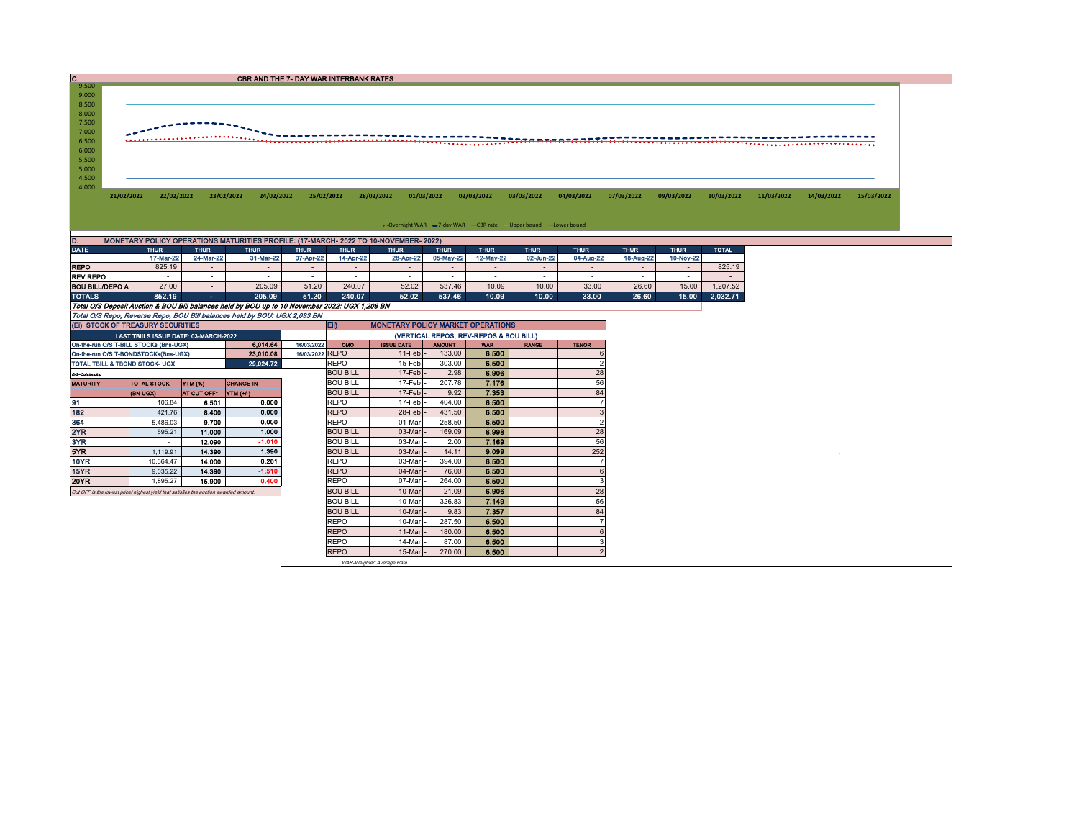| $C_{.9.500}$      |            |             |             | CBR AND THE 7- DAY WAR INTERBANK RATES |             |             |                                                                                                     |                                                                  |             |             |             |             |              |            |            |            |
|-------------------|------------|-------------|-------------|----------------------------------------|-------------|-------------|-----------------------------------------------------------------------------------------------------|------------------------------------------------------------------|-------------|-------------|-------------|-------------|--------------|------------|------------|------------|
|                   |            |             |             |                                        |             |             |                                                                                                     |                                                                  |             |             |             |             |              |            |            |            |
| 9.000             |            |             |             |                                        |             |             |                                                                                                     |                                                                  |             |             |             |             |              |            |            |            |
| 8.500             |            |             |             |                                        |             |             |                                                                                                     |                                                                  |             |             |             |             |              |            |            |            |
| 8.000             |            |             |             |                                        |             |             |                                                                                                     |                                                                  |             |             |             |             |              |            |            |            |
| 7.500             |            |             |             |                                        |             |             |                                                                                                     |                                                                  |             |             |             |             |              |            |            |            |
| 7.000             |            |             |             |                                        |             |             |                                                                                                     |                                                                  |             |             |             |             |              |            |            |            |
| 6.500             |            |             |             |                                        |             |             |                                                                                                     |                                                                  |             |             |             |             |              |            |            |            |
| 6.000             |            |             |             |                                        |             |             |                                                                                                     |                                                                  |             |             |             |             |              |            |            |            |
|                   |            |             |             |                                        |             |             |                                                                                                     |                                                                  |             |             |             |             |              |            |            |            |
|                   |            |             |             |                                        |             |             |                                                                                                     |                                                                  |             |             |             |             |              |            |            |            |
| 5.500             |            |             |             |                                        |             |             |                                                                                                     |                                                                  |             |             |             |             |              |            |            |            |
| 5.000             |            |             |             |                                        |             |             |                                                                                                     |                                                                  |             |             |             |             |              |            |            |            |
| 4.500             |            |             |             |                                        |             |             |                                                                                                     |                                                                  |             |             |             |             |              |            |            |            |
| 4.000             |            |             |             |                                        |             |             |                                                                                                     |                                                                  |             |             |             |             |              |            |            |            |
|                   | 21/02/2022 | 22/02/2022  | 23/02/2022  | 24/02/2022                             | 25/02/2022  | 28/02/2022  | 01/03/2022                                                                                          | 02/03/2022                                                       | 03/03/2022  | 04/03/2022  | 07/03/2022  | 09/03/2022  | 10/03/2022   | 11/03/2022 | 14/03/2022 | 15/03/2022 |
|                   |            |             |             |                                        |             |             |                                                                                                     |                                                                  |             |             |             |             |              |            |            |            |
|                   |            |             |             |                                        |             |             |                                                                                                     |                                                                  |             |             |             |             |              |            |            |            |
|                   |            |             |             |                                        |             |             |                                                                                                     | • Overnight WAR = 7-day WAR CBR rate - Upper bound - Lower bound |             |             |             |             |              |            |            |            |
|                   |            |             |             |                                        |             |             |                                                                                                     |                                                                  |             |             |             |             |              |            |            |            |
| D.<br><b>DATE</b> |            | <b>THUR</b> | <b>THUR</b> | <b>THUR</b>                            | <b>THUR</b> | <b>THUR</b> | MONETARY POLICY OPERATIONS MATURITIES PROFILE: (17-MARCH- 2022 TO 10-NOVEMBER- 2022)<br><b>THUR</b> | <b>THUR</b><br><b>THUR</b>                                       | <b>THUR</b> | <b>THUR</b> | <b>THUR</b> | <b>THUR</b> | <b>TOTAL</b> |            |            |            |

|                                                                                                | 17-Mar-22 | 24-Mar-22                | 31-Mar-22 | 07-Apr-22 | 14-Apr-22       | 28-Apr-22 | 05-May-22 | 12-May-22 | 02-Jun-22 | 04-Aug-22                | 18-Aug-22 | 10-Nov-22 |          |
|------------------------------------------------------------------------------------------------|-----------|--------------------------|-----------|-----------|-----------------|-----------|-----------|-----------|-----------|--------------------------|-----------|-----------|----------|
| <b>REPO</b>                                                                                    | 825.19    | $\overline{\phantom{0}}$ |           |           | -               | . .       | -         |           | . .       | $\overline{\phantom{0}}$ |           |           | 825.19   |
| <b>REV REPO</b>                                                                                | . .       | <b>Contract</b>          |           |           | <b>Contract</b> | -         | -         |           |           |                          |           |           | $\sim$   |
| <b>BOU BILL/DEPO A</b>                                                                         | 27.00     |                          | 205.09    | 51.20     | 240.07          | 52.02     | 537.46    | 10.09     | 10.00     | 33.00                    | 26.60     | 15.00     | 1.207.52 |
| <b>TOTALS</b>                                                                                  | 852.19    | <b>Section</b>           | 205.09    | 51.20     | 240.07          | 52.02     | 537.46    | 10.09     | 10.00     | 33.00                    | 26.60     | 15.00     | 2.032.71 |
| Total O/S Deposit Auction & BOU Bill balances held by BOU up to 10 November 2022: UGX 1,208 BN |           |                          |           |           |                 |           |           |           |           |                          |           |           |          |
| Total O/S Repo, Reverse Repo, BOU Bill balances held by BOU: UGX 2,033 BN                      |           |                          |           |           |                 |           |           |           |           |                          |           |           |          |

| (EI) STOCK OF TREASURY SECURITIES                                                     |                    |                    |                  |  | <b>ED</b><br><b>MONETARY POLICY MARKET OPERATIONS</b> |                                        |               |            |              |                |  |  |  |
|---------------------------------------------------------------------------------------|--------------------|--------------------|------------------|--|-------------------------------------------------------|----------------------------------------|---------------|------------|--------------|----------------|--|--|--|
| LAST TBIILS ISSUE DATE: 03-MARCH-2022                                                 |                    |                    |                  |  |                                                       | (VERTICAL REPOS, REV-REPOS & BOU BILL) |               |            |              |                |  |  |  |
| On-the-run O/S T-BILL STOCKs (Bns-UGX)<br>6.014.64<br>16/03/2022                      |                    |                    |                  |  | <b>OMO</b>                                            | <b>ISSUE DATE</b>                      | <b>AMOUNT</b> | <b>WAR</b> | <b>RANGE</b> | <b>TENOR</b>   |  |  |  |
| 23.010.08<br>On-the-run O/S T-BONDSTOCKs(Bns-UGX)                                     |                    |                    |                  |  | 16/03/2022 REPO                                       | $11$ -Feb                              | 133.00        | 6.500      |              |                |  |  |  |
| 29,024.72<br>TOTAL TBILL & TBOND STOCK- UGX                                           |                    |                    |                  |  | <b>REPO</b>                                           | 15-Feb                                 | 303.00        | 6.500      |              |                |  |  |  |
| Q/S=Outstanding                                                                       |                    |                    |                  |  | <b>BOU BILL</b>                                       | $17-Feb$                               | 2.98          | 6.906      |              | 28             |  |  |  |
| <b>MATURITY</b>                                                                       | <b>TOTAL STOCK</b> | YTM (%)            | <b>CHANGE IN</b> |  | <b>BOU BILL</b>                                       | 17-Feb                                 | 207.78        | 7.176      |              | 56             |  |  |  |
|                                                                                       | (BN UGX)           | <b>AT CUT OFF*</b> | YTM (+/-)        |  | <b>BOU BILL</b>                                       | 17-Feb                                 | 9.92          | 7.353      |              | 84             |  |  |  |
| 91                                                                                    | 106.84             | 6.501              | 0.000            |  | <b>REPO</b>                                           | 17-Feb                                 | 404.00        | 6.500      |              |                |  |  |  |
| 182                                                                                   | 421.76             | 8.400              | 0.000            |  | <b>REPO</b>                                           | 28-Feb                                 | 431.50        | 6.500      |              |                |  |  |  |
| 364                                                                                   | 5.486.03           | 9.700              | 0.000            |  | <b>REPO</b>                                           | 01-Mar                                 | 258.50        | 6.500      |              |                |  |  |  |
| 2YR                                                                                   | 595.21             | 11.000             | 1.000            |  | <b>BOU BILL</b>                                       | 03-Mar                                 | 169.09        | 6.998      |              | 28             |  |  |  |
| 3YR                                                                                   | $\sim$             | 12.090             | $-1.010$         |  | <b>BOU BILL</b>                                       | 03-Mar                                 | 2.00          | 7.169      |              | 56             |  |  |  |
| 5YR.                                                                                  | 1.119.91           | 14,390             | 1.390            |  | <b>BOU BILL</b>                                       | 03-Mar                                 | 14.11         | 9.099      |              | 252            |  |  |  |
| 10YR                                                                                  | 10.364.47          | 14.000             | 0.261            |  | <b>REPO</b>                                           | 03-Mar                                 | 394.00        | 6.500      |              |                |  |  |  |
| 15YR                                                                                  | 9,035.22           | 14.390             | $-1.510$         |  | <b>REPO</b>                                           | 04-Mar                                 | 76.00         | 6.500      |              |                |  |  |  |
| 20YR                                                                                  | 1.895.27           | 15,900             | 0.400            |  | <b>REPO</b>                                           | 07-Mar                                 | 264.00        | 6.500      |              |                |  |  |  |
| Cut OFF is the lowest price/ highest yield that satisfies the auction awarded amount. |                    |                    |                  |  | <b>BOU BILL</b>                                       | 10-Mar                                 | 21.09         | 6.906      |              | 28             |  |  |  |
|                                                                                       |                    |                    |                  |  | <b>BOU BILL</b>                                       | 10-Mar                                 | 326.83        | 7.149      |              | 56             |  |  |  |
|                                                                                       |                    |                    |                  |  | <b>BOU BILL</b>                                       | 10-Mar                                 | 9.83          | 7.357      |              | 84             |  |  |  |
|                                                                                       |                    |                    |                  |  | <b>REPO</b>                                           | 10-Mar                                 | 287.50        | 6.500      |              |                |  |  |  |
|                                                                                       |                    |                    |                  |  | <b>REPO</b>                                           | 11-Mar                                 | 180.00        | 6.500      |              |                |  |  |  |
|                                                                                       |                    |                    |                  |  | <b>REPO</b>                                           | 14-Mar                                 | 87.00         | 6.500      |              |                |  |  |  |
|                                                                                       |                    |                    |                  |  | <b>REPO</b>                                           | $15$ -Mar $-$                          | 270.00        | 6.500      |              | $\overline{2}$ |  |  |  |

WAR-Weighted Average Rate